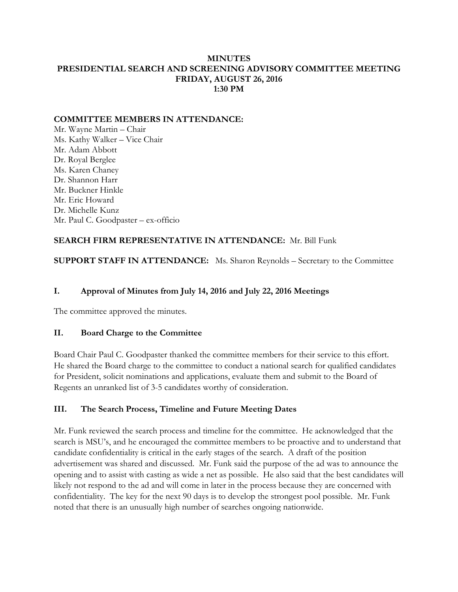### **MINUTES PRESIDENTIAL SEARCH AND SCREENING ADVISORY COMMITTEE MEETING FRIDAY, AUGUST 26, 2016 1:30 PM**

### **COMMITTEE MEMBERS IN ATTENDANCE:**

Mr. Wayne Martin – Chair Ms. Kathy Walker – Vice Chair Mr. Adam Abbott Dr. Royal Berglee Ms. Karen Chaney Dr. Shannon Harr Mr. Buckner Hinkle Mr. Eric Howard Dr. Michelle Kunz Mr. Paul C. Goodpaster – ex-officio

### **SEARCH FIRM REPRESENTATIVE IN ATTENDANCE:** Mr. Bill Funk

**SUPPORT STAFF IN ATTENDANCE:** Ms. Sharon Reynolds – Secretary to the Committee

### **I. Approval of Minutes from July 14, 2016 and July 22, 2016 Meetings**

The committee approved the minutes.

### **II. Board Charge to the Committee**

Board Chair Paul C. Goodpaster thanked the committee members for their service to this effort. He shared the Board charge to the committee to conduct a national search for qualified candidates for President, solicit nominations and applications, evaluate them and submit to the Board of Regents an unranked list of 3-5 candidates worthy of consideration.

### **III. The Search Process, Timeline and Future Meeting Dates**

Mr. Funk reviewed the search process and timeline for the committee. He acknowledged that the search is MSU's, and he encouraged the committee members to be proactive and to understand that candidate confidentiality is critical in the early stages of the search. A draft of the position advertisement was shared and discussed. Mr. Funk said the purpose of the ad was to announce the opening and to assist with casting as wide a net as possible. He also said that the best candidates will likely not respond to the ad and will come in later in the process because they are concerned with confidentiality. The key for the next 90 days is to develop the strongest pool possible. Mr. Funk noted that there is an unusually high number of searches ongoing nationwide.